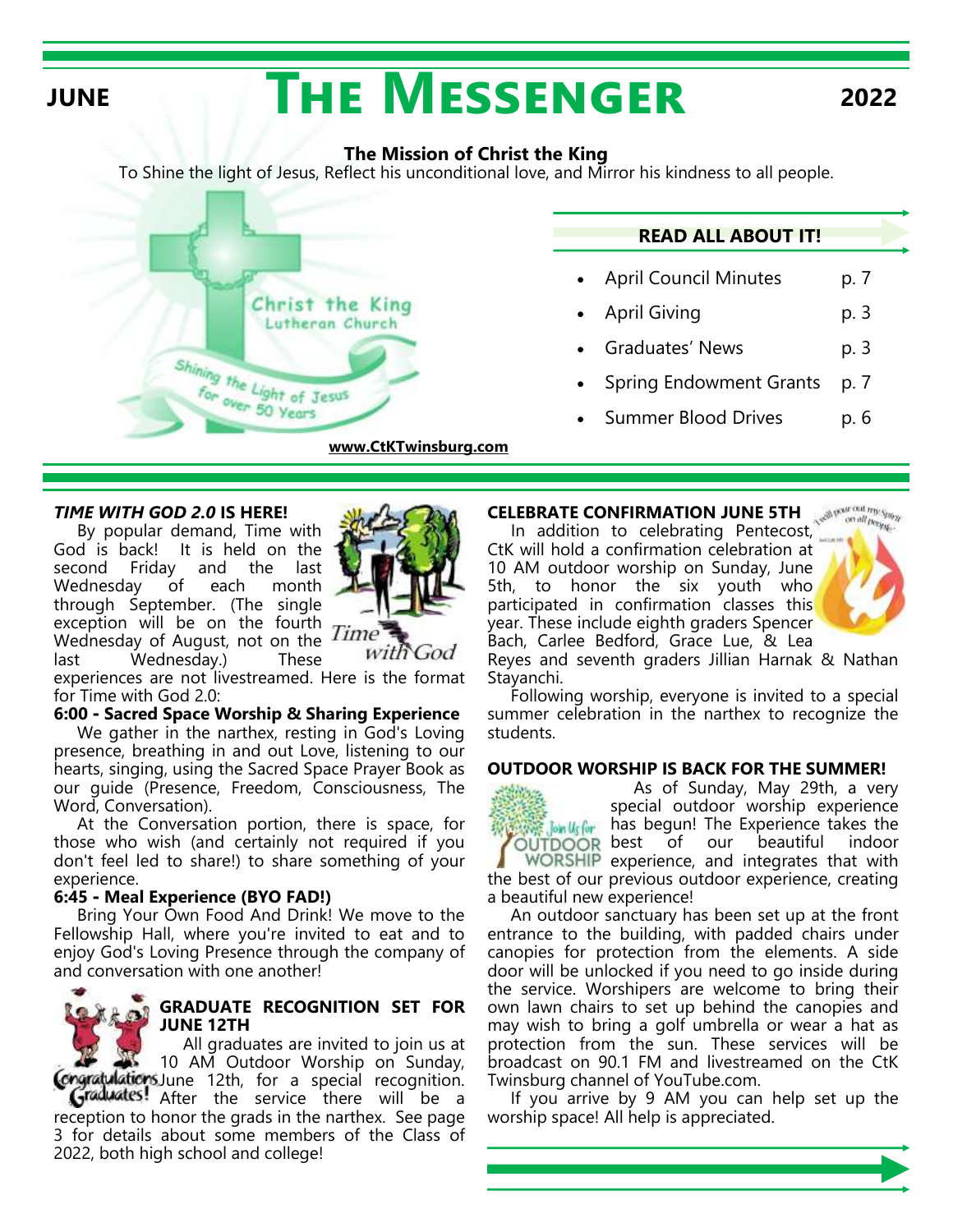# **JUNE THE MESSENGER** 2022

### **The Mission of Christ the King**

To Shine the light of Jesus, Reflect his unconditional love, and Mirror his kindness to all people.



### *TIME WITH GOD 2.0* **IS HERE!**

By popular demand, Time with God is back! It is held on the second Friday and the last Wednesday of each month through September. (The single exception will be on the fourth Wednesday of August, not on the Time last Wednesday.) These



with

 $0d$ 

experiences are not livestreamed. Here is the format for Time with God 2.0:

### **6:00 - Sacred Space Worship & Sharing Experience**

 We gather in the narthex, resting in God's Loving presence, breathing in and out Love, listening to our hearts, singing, using the Sacred Space Prayer Book as our guide (Presence, Freedom, Consciousness, The Word, Conversation).

 At the Conversation portion, there is space, for those who wish (and certainly not required if you don't feel led to share!) to share something of your experience.

### **6:45 - Meal Experience (BYO FAD!)**

 Bring Your Own Food And Drink! We move to the Fellowship Hall, where you're invited to eat and to enjoy God's Loving Presence through the company of and conversation with one another!

### **GRADUATE RECOGNITION SET FOR JUNE 12TH**

 All graduates are invited to join us at 10 AM Outdoor Worship on Sunday, Congratulations June 12th, for a special recognition. Graduates! After the service there will be a reception to honor the grads in the narthex. See page 3 for details about some members of the Class of 2022, both high school and college!

### **CELEBRATE CONFIRMATION JUNE 5TH** Bow out my your

In addition to celebrating Pentecost, CtK will hold a confirmation celebration at 10 AM outdoor worship on Sunday, June 5th, to honor the six youth who participated in confirmation classes this year. These include eighth graders Spencer Bach, Carlee Bedford, Grace Lue, & Lea



Reyes and seventh graders Jillian Harnak & Nathan Stayanchi.

 Following worship, everyone is invited to a special summer celebration in the narthex to recognize the students.

### **OUTDOOR WORSHIP IS BACK FOR THE SUMMER!**

 As of Sunday, May 29th, a very special outdoor worship experience **Assecute thas begun! The Experience takes the**<br>**OUTDOOR** best of our beautiful indoor of our beautiful indoor WORSHIP experience, and integrates that with the best of our previous outdoor experience, creating a beautiful new experience!

 An outdoor sanctuary has been set up at the front entrance to the building, with padded chairs under canopies for protection from the elements. A side door will be unlocked if you need to go inside during the service. Worshipers are welcome to bring their own lawn chairs to set up behind the canopies and may wish to bring a golf umbrella or wear a hat as protection from the sun. These services will be broadcast on 90.1 FM and livestreamed on the CtK Twinsburg channel of YouTube.com.

 If you arrive by 9 AM you can help set up the worship space! All help is appreciated.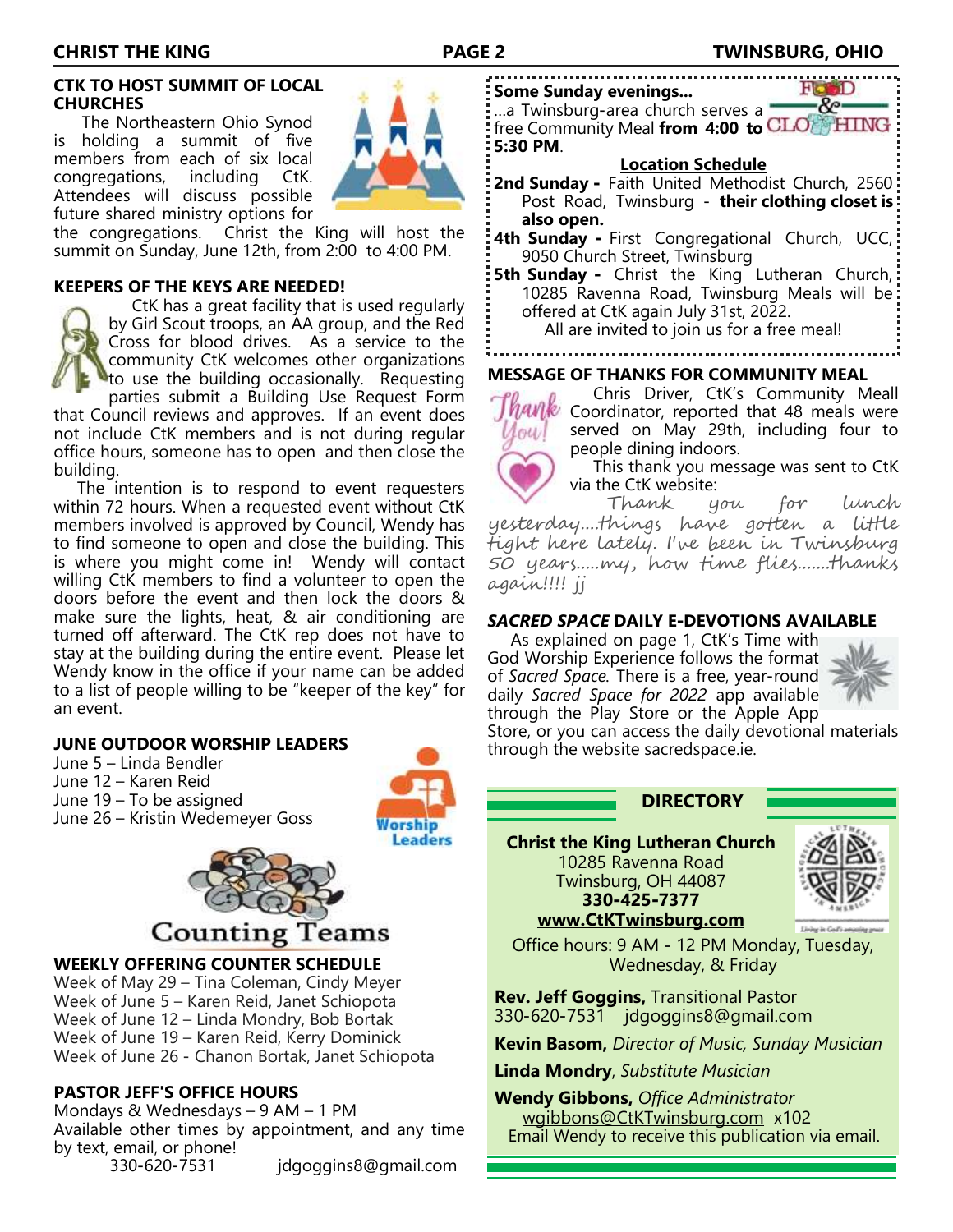### **CTK TO HOST SUMMIT OF LOCAL CHURCHES**

 The Northeastern Ohio Synod is holding a summit of five members from each of six local congregations, including CtK. Attendees will discuss possible future shared ministry options for

the congregations. Christ the King will host the summit on Sunday, June 12th, from 2:00 to 4:00 PM.

### **KEEPERS OF THE KEYS ARE NEEDED!**



 CtK has a great facility that is used regularly by Girl Scout troops, an AA group, and the Red Cross for blood drives. As a service to the community CtK welcomes other organizations to use the building occasionally. Requesting

parties submit a Building Use Request Form that Council reviews and approves. If an event does not include CtK members and is not during regular office hours, someone has to open and then close the building.

 The intention is to respond to event requesters within 72 hours. When a requested event without CtK members involved is approved by Council, Wendy has to find someone to open and close the building. This is where you might come in! Wendy will contact willing CtK members to find a volunteer to open the doors before the event and then lock the doors & make sure the lights, heat, & air conditioning are turned off afterward. The CtK rep does not have to stay at the building during the entire event. Please let Wendy know in the office if your name can be added to a list of people willing to be "keeper of the key" for an event.

### **JUNE OUTDOOR WORSHIP LEADERS**

June 5 – Linda Bendler

- June 12 Karen Reid
- June 19 To be assigned June 26 – Kristin Wedemeyer Goss



## **Counting Teams**

### **WEEKLY OFFERING COUNTER SCHEDULE**

Week of May 29 – Tina Coleman, Cindy Meyer Week of June 5 – Karen Reid, Janet Schiopota Week of June 12 – Linda Mondry, Bob Bortak Week of June 19 – Karen Reid, Kerry Dominick Week of June 26 - Chanon Bortak, Janet Schiopota

### **PASTOR JEFF'S OFFICE HOURS**

Mondays & Wednesdays – 9 AM – 1 PM Available other times by appointment, and any time by text, email, or phone! 330-620-7531 jdgoggins8@gmail.com

**Some Sunday evenings...**

 $8 -$ …a Twinsburg-area church serves a free Community Meal **from 4:00 to 5:30 PM**.

### **Location Schedule**

- **2nd Sunday -** Faith United Methodist Church, 2560 Post Road, Twinsburg - **their clothing closet is also open.**
- **4th Sunday -** First Congregational Church, UCC, 9050 Church Street, Twinsburg
- **5th Sunday** Christ the King Lutheran Church, 10285 Ravenna Road, Twinsburg Meals will be offered at CtK again July 31st, 2022.

All are invited to join us for a free meal!

### **MESSAGE OF THANKS FOR COMMUNITY MEAL**



 Chris Driver, CtK's Community Meall  $M$  Coordinator, reported that 48 meals were served on May 29th, including four to people dining indoors.

 This thank you message was sent to CtK via the CtK website:

 Thank you for lunch yesterday....things have gotten a little tight here lately. I've been in Twinsburg 50 years.....my, how time flies.......thanks again!!!! jj

### *SACRED SPACE* **DAILY E-DEVOTIONS AVAILABLE**

 As explained on page 1, CtK's Time with God Worship Experience follows the format of *Sacred Space.* There is a free, year-round daily *Sacred Space for 2022* app available through the Play Store or the Apple App



Store, or you can access the daily devotional materials through the website sacredspace.ie.

### **DIRECTORY**

**Christ the King Lutheran Church**  10285 Ravenna Road Twinsburg, OH 44087 **330-425-7377**



### **www.CtKTwinsburg.com**

Office hours: 9 AM - 12 PM Monday, Tuesday, Wednesday, & Friday

**Rev. Jeff Goggins,** Transitional Pastor 330-620-7531 jdgoggins8@gmail.com

**Kevin Basom,** *Director of Music, Sunday Musician*

**Linda Mondry**, *Substitute Musician*

**Wendy Gibbons,** *Office Administrator* wgibbons@CtKTwinsburg.com x102 Email Wendy to receive this publication via email.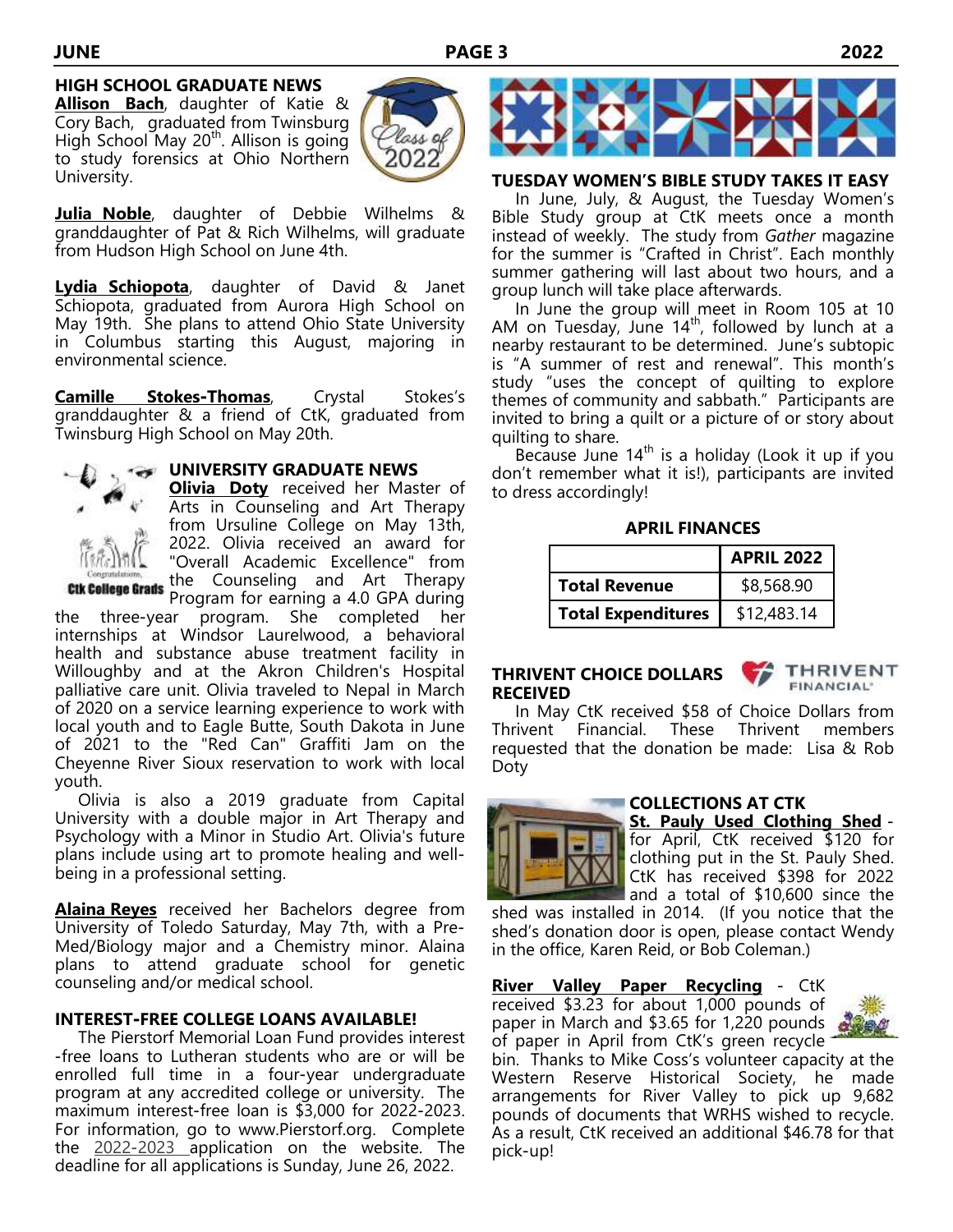### **HIGH SCHOOL GRADUATE NEWS**

**Allison Bach**, daughter of Katie & Cory Bach, graduated from Twinsburg High School May 20<sup>th</sup>. Allison is going to study forensics at Ohio Northern University.



**Julia Noble**, daughter of Debbie Wilhelms & granddaughter of Pat & Rich Wilhelms, will graduate from Hudson High School on June 4th.

**Lydia Schiopota**, daughter of David & Janet Schiopota, graduated from Aurora High School on May 19th. She plans to attend Ohio State University in Columbus starting this August, majoring in environmental science.

**Camille Stokes-Thomas**, Crystal Stokes's granddaughter & a friend of CtK, graduated from Twinsburg High School on May 20th.



**UNIVERSITY GRADUATE NEWS**

**Olivia Doty** received her Master of Arts in Counseling and Art Therapy from Ursuline College on May 13th, 2022. Olivia received an award for "Overall Academic Excellence" from the Counseling and Art Therapy

Program for earning a 4.0 GPA during the three-year program. She completed her internships at Windsor Laurelwood, a behavioral health and substance abuse treatment facility in Willoughby and at the Akron Children's Hospital palliative care unit. Olivia traveled to Nepal in March of 2020 on a service learning experience to work with local youth and to Eagle Butte, South Dakota in June of 2021 to the "Red Can" Graffiti Jam on the Cheyenne River Sioux reservation to work with local youth.

 Olivia is also a 2019 graduate from Capital University with a double major in Art Therapy and Psychology with a Minor in Studio Art. Olivia's future plans include using art to promote healing and wellbeing in a professional setting.

**Alaina Reyes** received her Bachelors degree from University of Toledo Saturday, May 7th, with a Pre-Med/Biology major and a Chemistry minor. Alaina plans to attend graduate school for genetic counseling and/or medical school.

### **INTEREST-FREE COLLEGE LOANS AVAILABLE!**

The Pierstorf Memorial Loan Fund provides interest -free loans to Lutheran students who are or will be enrolled full time in a four-year undergraduate program at any accredited college or university. The maximum interest-free loan is \$3,000 for 2022-2023. For information, go to www.Pierstorf.org. Complete the 2022-2023 application on the website. The deadline for all applications is Sunday, June 26, 2022.



### **TUESDAY WOMEN'S BIBLE STUDY TAKES IT EASY**

In June, July, & August, the Tuesday Women's Bible Study group at CtK meets once a month instead of weekly. The study from *Gather* magazine for the summer is "Crafted in Christ". Each monthly summer gathering will last about two hours, and a group lunch will take place afterwards.

 In June the group will meet in Room 105 at 10 AM on Tuesday, June  $14<sup>th</sup>$ , followed by lunch at a nearby restaurant to be determined. June's subtopic is "A summer of rest and renewal". This month's study "uses the concept of quilting to explore themes of community and sabbath." Participants are invited to bring a quilt or a picture of or story about quilting to share.

Because June  $14<sup>th</sup>$  is a holiday (Look it up if you don't remember what it is!), participants are invited to dress accordingly!

**APRIL FINANCES**

|                           | <b>APRIL 2022</b> |  |  |
|---------------------------|-------------------|--|--|
| <b>Total Revenue</b>      | \$8,568.90        |  |  |
| <b>Total Expenditures</b> | \$12,483.14       |  |  |

### **THRIVENT CHOICE DOLLARS RECEIVED**



 In May CtK received \$58 of Choice Dollars from Thrivent Financial. These Thrivent members requested that the donation be made: Lisa & Rob Doty



### **COLLECTIONS AT CTK**

**St. Pauly Used Clothing Shed** for April, CtK received \$120 for clothing put in the St. Pauly Shed. CtK has received \$398 for 2022 and a total of \$10,600 since the

shed was installed in 2014. (If you notice that the shed's donation door is open, please contact Wendy in the office, Karen Reid, or Bob Coleman.)

**River Valley Paper Recycling** - CtK received \$3.23 for about 1,000 pounds of paper in March and \$3.65 for 1,220 pounds of paper in April from CtK's green recycle



bin. Thanks to Mike Coss's volunteer capacity at the Western Reserve Historical Society, he made arrangements for River Valley to pick up 9,682 pounds of documents that WRHS wished to recycle. As a result, CtK received an additional \$46.78 for that pick-up!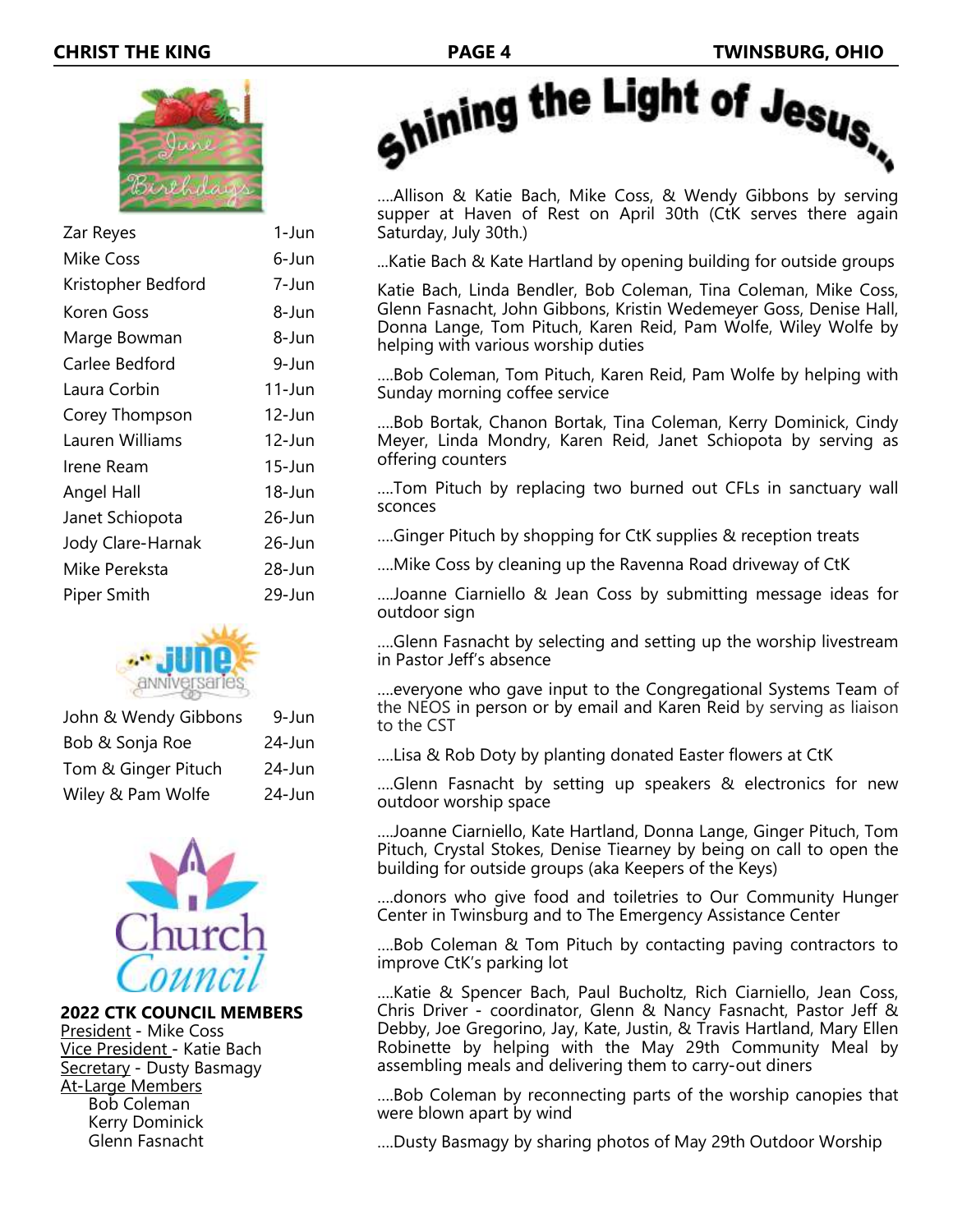

| Zar Reyes          | 1-Jun      |
|--------------------|------------|
| <b>Mike Coss</b>   | 6-Jun      |
| Kristopher Bedford | 7-Jun      |
| Koren Goss         | 8-Jun      |
| Marge Bowman       | 8-Jun      |
| Carlee Bedford     | 9-Jun      |
| Laura Corbin       | $11$ -Jun  |
| Corey Thompson     | $12$ -Jun  |
| Lauren Williams    | $12$ -Jun  |
| Irene Ream         | $15 - Jun$ |
| Angel Hall         | 18-Jun     |
| Janet Schiopota    | 26-Jun     |
| Jody Clare-Harnak  | $26$ -Jun  |
| Mike Pereksta      | 28-Jun     |
| <b>Piper Smith</b> | 29-Jun     |
|                    |            |



| John & Wendy Gibbons | 9-Jun     |
|----------------------|-----------|
| Bob & Sonja Roe      | $24$ -Jun |
| Tom & Ginger Pituch  | $24$ -Jun |
| Wiley & Pam Wolfe    | $24$ -Jun |



**2022 CTK COUNCIL MEMBERS** President - Mike Coss Vice President - Katie Bach Secretary - Dusty Basmagy At-Large Members Bob Coleman Kerry Dominick Glenn Fasnacht



….Allison & Katie Bach, Mike Coss, & Wendy Gibbons by serving supper at Haven of Rest on April 30th (CtK serves there again Saturday, July 30th.)

...Katie Bach & Kate Hartland by opening building for outside groups

Katie Bach, Linda Bendler, Bob Coleman, Tina Coleman, Mike Coss, Glenn Fasnacht, John Gibbons, Kristin Wedemeyer Goss, Denise Hall, Donna Lange, Tom Pituch, Karen Reid, Pam Wolfe, Wiley Wolfe by helping with various worship duties

….Bob Coleman, Tom Pituch, Karen Reid, Pam Wolfe by helping with Sunday morning coffee service

….Bob Bortak, Chanon Bortak, Tina Coleman, Kerry Dominick, Cindy Meyer, Linda Mondry, Karen Reid, Janet Schiopota by serving as offering counters

….Tom Pituch by replacing two burned out CFLs in sanctuary wall sconces

….Ginger Pituch by shopping for CtK supplies & reception treats

….Mike Coss by cleaning up the Ravenna Road driveway of CtK

….Joanne Ciarniello & Jean Coss by submitting message ideas for outdoor sign

….Glenn Fasnacht by selecting and setting up the worship livestream in Pastor Jeff's absence

….everyone who gave input to the Congregational Systems Team of the NEOS in person or by email and Karen Reid by serving as liaison to the CST

….Lisa & Rob Doty by planting donated Easter flowers at CtK

….Glenn Fasnacht by setting up speakers & electronics for new outdoor worship space

….Joanne Ciarniello, Kate Hartland, Donna Lange, Ginger Pituch, Tom Pituch, Crystal Stokes, Denise Tiearney by being on call to open the building for outside groups (aka Keepers of the Keys)

….donors who give food and toiletries to Our Community Hunger Center in Twinsburg and to The Emergency Assistance Center

….Bob Coleman & Tom Pituch by contacting paving contractors to improve CtK's parking lot

….Katie & Spencer Bach, Paul Bucholtz, Rich Ciarniello, Jean Coss, Chris Driver - coordinator, Glenn & Nancy Fasnacht, Pastor Jeff & Debby, Joe Gregorino, Jay, Kate, Justin, & Travis Hartland, Mary Ellen Robinette by helping with the May 29th Community Meal by assembling meals and delivering them to carry-out diners

….Bob Coleman by reconnecting parts of the worship canopies that were blown apart by wind

….Dusty Basmagy by sharing photos of May 29th Outdoor Worship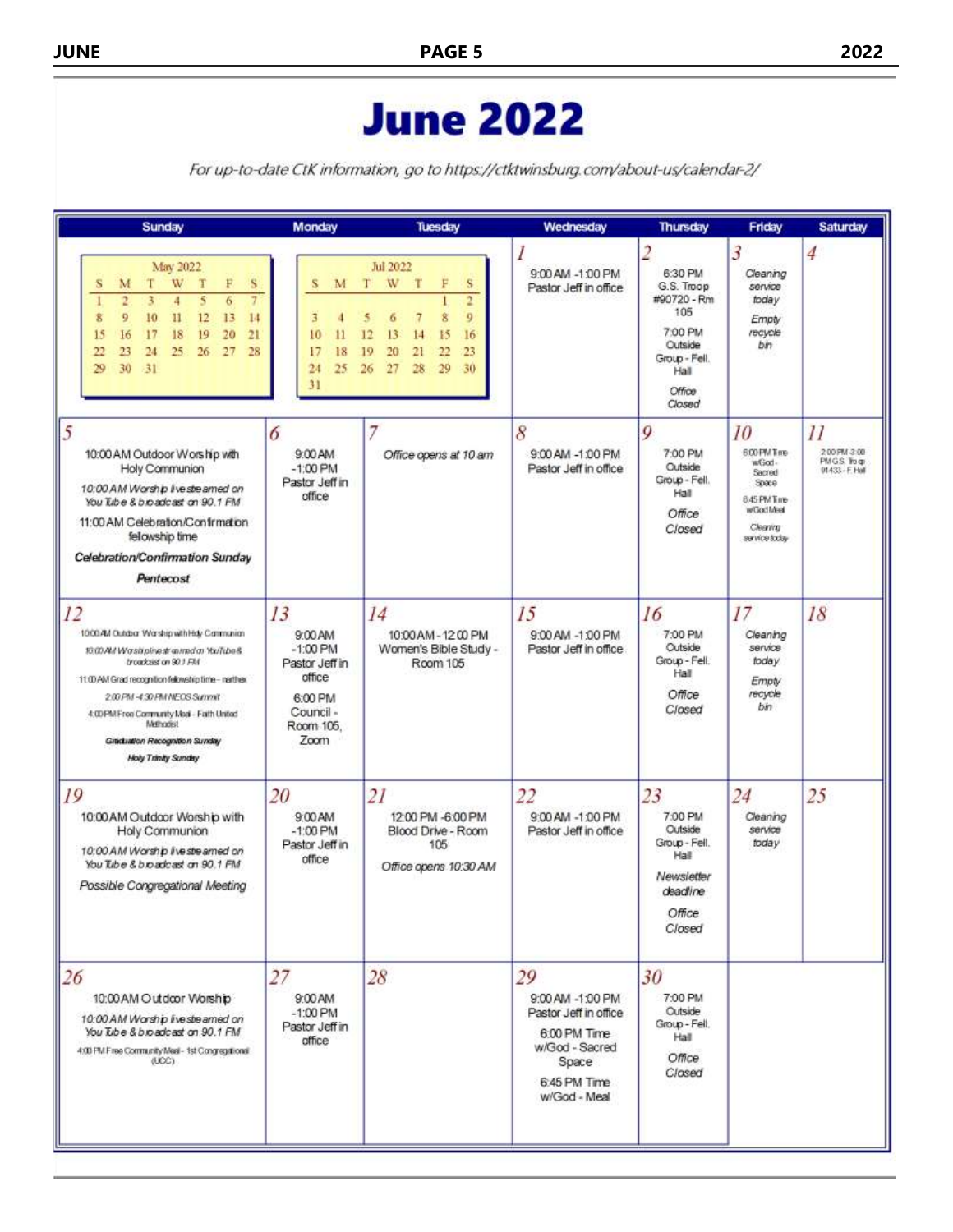# **June 2022**

For up-to-date CtK information, go to https://ctktwinsburg.com/about-us/calendar-2/

| Sunday                                                                                                                                                                                                                                                                                                                                 | Monday                                                                                               | Tuesday                                                                                                                                                      | Wednesday                                                                                                                  | Thursday                                                                                                                         | Friday                                                                                              | Saturday                                                           |
|----------------------------------------------------------------------------------------------------------------------------------------------------------------------------------------------------------------------------------------------------------------------------------------------------------------------------------------|------------------------------------------------------------------------------------------------------|--------------------------------------------------------------------------------------------------------------------------------------------------------------|----------------------------------------------------------------------------------------------------------------------------|----------------------------------------------------------------------------------------------------------------------------------|-----------------------------------------------------------------------------------------------------|--------------------------------------------------------------------|
| May 2022<br>т<br>W<br>T<br>F<br>s<br>M<br>s<br>$\overline{2}$<br>5<br>3<br>4<br>6<br>9<br>12<br>8<br>10<br>$\mathbf{I}$<br>13<br>14<br>18<br>19<br>20<br>21<br>15<br>16<br>17<br>23<br>25<br>26<br>27<br>28<br>22<br>24<br>29<br>30<br>$-31$                                                                                           | s<br>M<br>3<br>10<br>$\mathbf{11}$<br>17<br>18<br>$^{24}$<br>25<br>31                                | Jul 2022<br>T<br>T<br>W<br>F<br>S<br>$\overline{q}$<br>8<br>7<br>6<br>12<br>13<br>15<br>14<br>16<br>20<br>21<br>22<br>23<br>19<br>26<br>27<br>28<br>29<br>30 | 9:00 AM -1:00 PM<br>Pastor Jeff in office                                                                                  | $\overline{2}$<br>6:30 PM<br>G.S. Troop<br>#90720 - Rm<br>105<br>7:00 PM<br>Outside<br>Group - Fell.<br>Hall<br>Office<br>Closed | 3<br>Cleaning<br>service<br>today<br>Empty<br>recycle<br>bin.                                       | 4                                                                  |
| 5<br>10:00 AM Outdoor Worship with<br>Holy Communion<br>10:00 AM Worship live streamed on<br>You Tabe & bioadcast on 90.1 FM<br>11:00 AM Celebration/Confirmation<br>fellowship time<br>Celebration/Confirmation Sunday<br>Pentecost                                                                                                   | 6<br>9:00 AM<br>$-1,00$ PM<br>Pastor Jeff in<br>office                                               | Office opens at 10 am                                                                                                                                        | 8<br>9:00 AM -1:00 PM<br>Pastor Jeff in office                                                                             | 9<br>7:00 PM<br><b>Outside</b><br>Group - Fell.<br>Hall<br>Office<br>Closed                                                      | 10<br>600 PM Tme<br>wGod-<br>Secred<br>Space<br>645 PM Time<br>wGodMed<br>Cleaning<br>service today | $\overline{11}$<br>200 PM 3:00<br>PMGS To gr<br>$01433 - F$ . Hall |
| 12<br>1000 All Outdoor Warship with Hdy Cammunian<br>10:00 AM Washplivesh annual at YouTube &<br>broadcast on 90.1 FM<br>11:00 AM Grad recognition fellowship time- narther.<br>2.00 PM -4:30 PM NEOS Summit<br>4:00 PM Free Community Medi - Faith United<br>Methodist<br>Graduation Recognition Sunday<br><b>Holy Trinity Sunday</b> | 13<br>9:00 AM<br>$-1.00$ PM<br>Pastor Jeff in<br>office<br>6:00 PM<br>Council -<br>Room 105.<br>Zoom | 14<br>10:00 AM - 12 00 PM<br>Women's Bible Study -<br>Room 105                                                                                               | 15<br>9:00 AM -1:00 PM<br>Pastor Jeff in office                                                                            | 16<br>7:00 PM<br>Outside<br>Group - Fell.<br>Hall<br>Office<br>Closed                                                            | 17<br>Cleaning<br>service<br>today<br>Empty<br>recycle<br>bin                                       | 18                                                                 |
| 19<br>10:00 AM Outdoor Worship with<br>Holy Communion<br>10:00 AM Worship live streamed on<br>You Tibe & bioadcast on 90.1 FM<br>Possible Congregational Meeting                                                                                                                                                                       | 20<br>9:00 AM<br>$-1:00$ PM<br>Pastor Jeff in<br>office                                              | 21<br>12:00 PM -6:00 PM<br>Blood Drive - Room<br>105<br>Office opens 10:30 AM                                                                                | 22<br>9:00 AM -1:00 PM<br>Pastor Jeff in office                                                                            | 23<br>7:00 PM<br>Outside<br>Group - Fell.<br>Hall<br>Newsletter<br>deadline<br>Office<br>Closed                                  | 24<br>Cleaning<br>service<br>today                                                                  | 25                                                                 |
| 26<br>10:00 AM Outdoor Worship<br>10:00 AM Worship live streamed on<br>You Tube & b.o adcast on 90.1 FM<br>4:00 PM F ree Community Meal - 1st Congregational<br>(UCC)                                                                                                                                                                  | 27<br>9:00 AM<br>$-1:00$ PM<br>Pastor Jeff in<br>office                                              | 28                                                                                                                                                           | 29<br>9:00 AM -1:00 PM<br>Pastor Jeff in office<br>6:00 PM Time<br>w/God - Sacred<br>Space<br>6.45 PM Time<br>w/God - Meal | 30<br>7:00 PM<br>Outside<br>Group - Fell.<br>Hall<br>Office<br>Closed                                                            |                                                                                                     |                                                                    |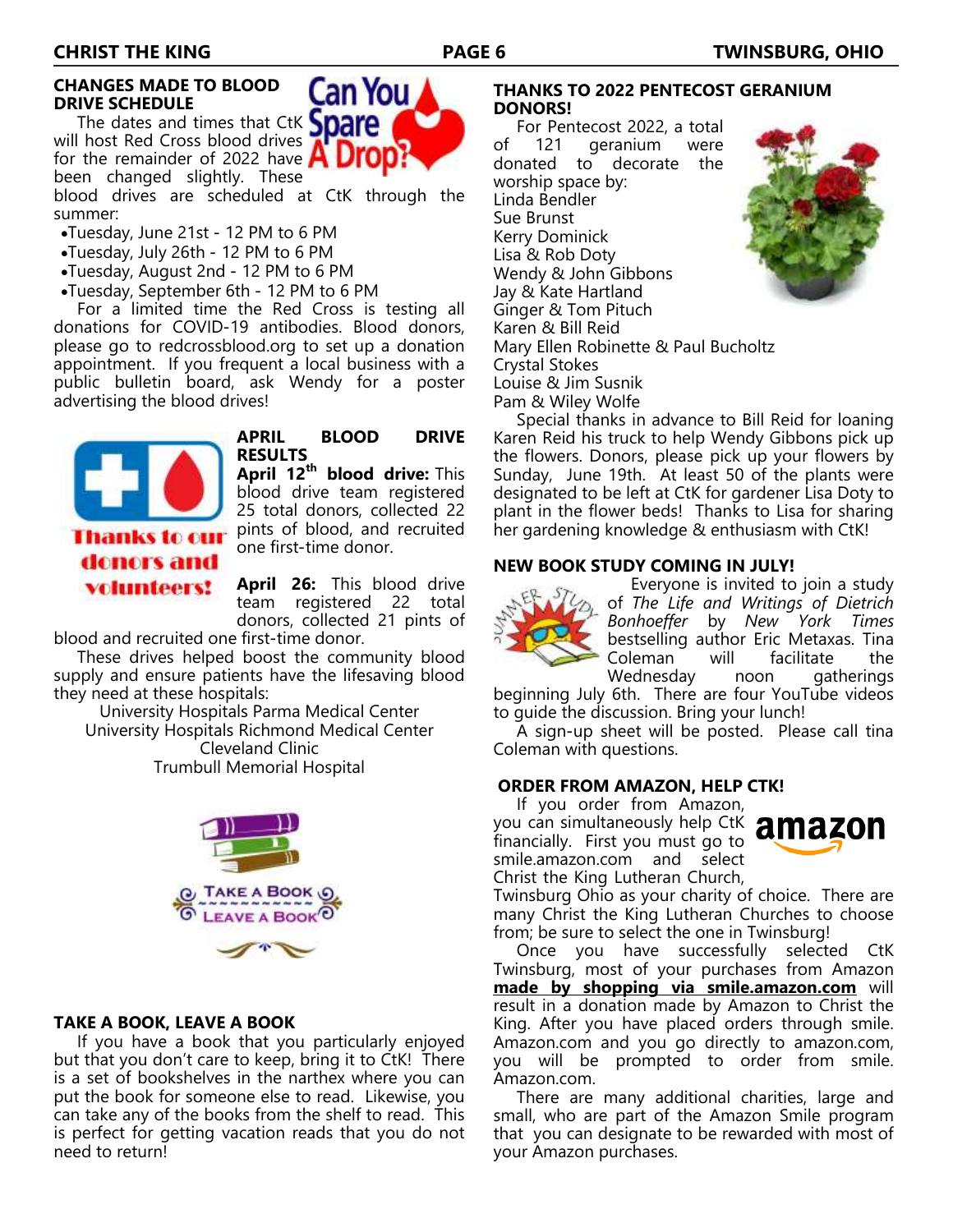### **CHANGES MADE TO BLOOD DRIVE SCHEDULE**

The dates and times that CtK **Spare** will host Red Cross blood drives for the remainder of 2022 have **A DIU** been changed slightly. These

blood drives are scheduled at CtK through the summer:

- •Tuesday, June 21st 12 PM to 6 PM
- •Tuesday, July 26th 12 PM to 6 PM
- •Tuesday, August 2nd 12 PM to 6 PM
- •Tuesday, September 6th 12 PM to 6 PM

 For a limited time the Red Cross is testing all donations for COVID-19 antibodies. Blood donors, please go to redcrossblood.org to set up a donation appointment. If you frequent a local business with a public bulletin board, ask Wendy for a poster advertising the blood drives!



**APRIL BLOOD DRIVE RESULTS**

Can You

**April 12th blood drive:** This blood drive team registered 25 total donors, collected 22 pints of blood, and recruited one first-time donor.

**April 26:** This blood drive team registered 22 total donors, collected 21 pints of

blood and recruited one first-time donor.

 These drives helped boost the community blood supply and ensure patients have the lifesaving blood they need at these hospitals:

University Hospitals Parma Medical Center University Hospitals Richmond Medical Center Cleveland Clinic Trumbull Memorial Hospital



### **TAKE A BOOK, LEAVE A BOOK**

 If you have a book that you particularly enjoyed but that you don't care to keep, bring it to CtK! There is a set of bookshelves in the narthex where you can put the book for someone else to read. Likewise, you can take any of the books from the shelf to read. This is perfect for getting vacation reads that you do not need to return!

### **THANKS TO 2022 PENTECOST GERANIUM DONORS!**

 For Pentecost 2022, a total of 121 geranium were donated to decorate the worship space by: Linda Bendler Sue Brunst Kerry Dominick Lisa & Rob Doty Wendy & John Gibbons Jay & Kate Hartland Ginger & Tom Pituch Karen & Bill Reid Mary Ellen Robinette & Paul Bucholtz Crystal Stokes Louise & Jim Susnik Pam & Wiley Wolfe



 Special thanks in advance to Bill Reid for loaning Karen Reid his truck to help Wendy Gibbons pick up the flowers. Donors, please pick up your flowers by Sunday, June 19th. At least 50 of the plants were designated to be left at CtK for gardener Lisa Doty to plant in the flower beds! Thanks to Lisa for sharing her gardening knowledge & enthusiasm with CtK!

### **NEW BOOK STUDY COMING IN JULY!**



 Everyone is invited to join a study of *The Life and Writings of Dietrich Bonhoeffer* by *New York Times*  bestselling author Eric Metaxas. Tina Coleman will facilitate the Wednesday noon gatherings

beginning July 6th. There are four YouTube videos to guide the discussion. Bring your lunch!

 A sign-up sheet will be posted. Please call tina Coleman with questions.

### **ORDER FROM AMAZON, HELP CTK!**

 If you order from Amazon, you can simultaneously help CtK amazon financially. First you must go to smile.amazon.com and select Christ the King Lutheran Church,



Twinsburg Ohio as your charity of choice. There are many Christ the King Lutheran Churches to choose from; be sure to select the one in Twinsburg!

 Once you have successfully selected CtK Twinsburg, most of your purchases from Amazon **made by shopping via smile.amazon.com** will result in a donation made by Amazon to Christ the King. After you have placed orders through smile. Amazon.com and you go directly to amazon.com, you will be prompted to order from smile. Amazon.com.

 There are many additional charities, large and small, who are part of the Amazon Smile program that you can designate to be rewarded with most of your Amazon purchases.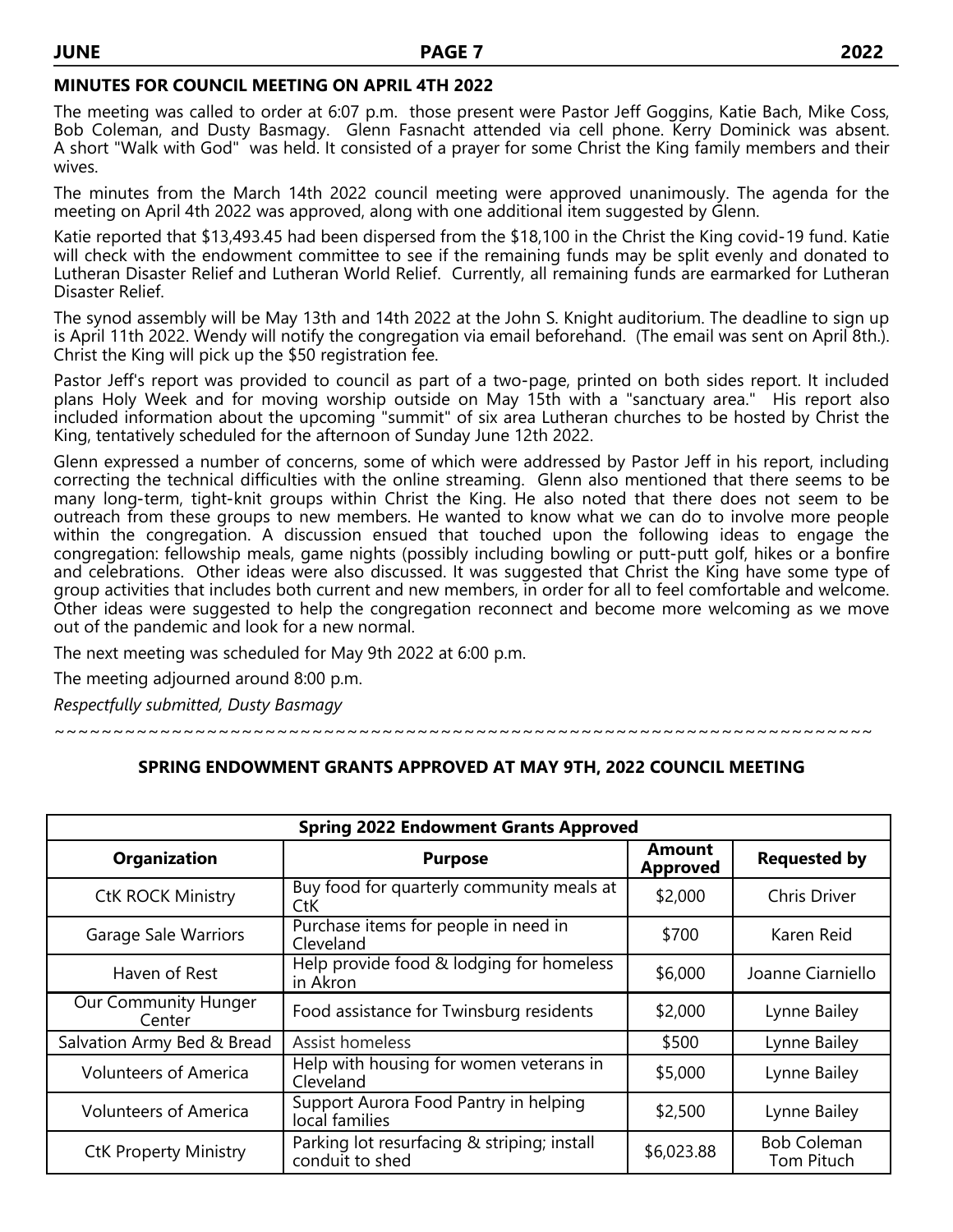### **MINUTES FOR COUNCIL MEETING ON APRIL 4TH 2022**

The meeting was called to order at 6:07 p.m. those present were Pastor Jeff Goggins, Katie Bach, Mike Coss, Bob Coleman, and Dusty Basmagy. Glenn Fasnacht attended via cell phone. Kerry Dominick was absent. A short "Walk with God" was held. It consisted of a prayer for some Christ the King family members and their wives.

The minutes from the March 14th 2022 council meeting were approved unanimously. The agenda for the meeting on April 4th 2022 was approved, along with one additional item suggested by Glenn.

Katie reported that \$13,493.45 had been dispersed from the \$18,100 in the Christ the King covid-19 fund. Katie will check with the endowment committee to see if the remaining funds may be split evenly and donated to Lutheran Disaster Relief and Lutheran World Relief. Currently, all remaining funds are earmarked for Lutheran Disaster Relief.

The synod assembly will be May 13th and 14th 2022 at the John S. Knight auditorium. The deadline to sign up is April 11th 2022. Wendy will notify the congregation via email beforehand. (The email was sent on April 8th.). Christ the King will pick up the \$50 registration fee.

Pastor Jeff's report was provided to council as part of a two-page, printed on both sides report. It included plans Holy Week and for moving worship outside on May 15th with a "sanctuary area." His report also included information about the upcoming "summit" of six area Lutheran churches to be hosted by Christ the King, tentatively scheduled for the afternoon of Sunday June 12th 2022.

Glenn expressed a number of concerns, some of which were addressed by Pastor Jeff in his report, including correcting the technical difficulties with the online streaming. Glenn also mentioned that there seems to be many long-term, tight-knit groups within Christ the King. He also noted that there does not seem to be outreach from these groups to new members. He wanted to know what we can do to involve more people within the congregation. A discussion ensued that touched upon the following ideas to engage the congregation: fellowship meals, game nights (possibly including bowling or putt-putt golf, hikes or a bonfire and celebrations. Other ideas were also discussed. It was suggested that Christ the King have some type of group activities that includes both current and new members, in order for all to feel comfortable and welcome. Other ideas were suggested to help the congregation reconnect and become more welcoming as we move out of the pandemic and look for a new normal.

The next meeting was scheduled for May 9th 2022 at 6:00 p.m.

The meeting adjourned around 8:00 p.m.

*Respectfully submitted, Dusty Basmagy*

~~~~~~~~~~~~~~~~

### **SPRING ENDOWMENT GRANTS APPROVED AT MAY 9TH, 2022 COUNCIL MEETING**

| <b>Spring 2022 Endowment Grants Approved</b> |                                                                |                           |                                  |  |  |
|----------------------------------------------|----------------------------------------------------------------|---------------------------|----------------------------------|--|--|
| <b>Organization</b>                          | <b>Purpose</b>                                                 | Amount<br><b>Approved</b> | <b>Requested by</b>              |  |  |
| <b>CtK ROCK Ministry</b>                     | Buy food for quarterly community meals at<br>CtK.              | \$2,000                   | <b>Chris Driver</b>              |  |  |
| <b>Garage Sale Warriors</b>                  | Purchase items for people in need in<br>Cleveland              | \$700                     | Karen Reid                       |  |  |
| Haven of Rest                                | Help provide food & lodging for homeless<br>in Akron           | \$6,000                   | Joanne Ciarniello                |  |  |
| Our Community Hunger<br>Center               | Food assistance for Twinsburg residents                        | \$2,000                   | Lynne Bailey                     |  |  |
| Salvation Army Bed & Bread                   | Assist homeless                                                | \$500                     | Lynne Bailey                     |  |  |
| <b>Volunteers of America</b>                 | Help with housing for women veterans in<br>Cleveland           | \$5,000                   | Lynne Bailey                     |  |  |
| <b>Volunteers of America</b>                 | Support Aurora Food Pantry in helping<br>local families        | \$2,500                   | Lynne Bailey                     |  |  |
| <b>CtK Property Ministry</b>                 | Parking lot resurfacing & striping; install<br>conduit to shed | \$6,023.88                | <b>Bob Coleman</b><br>Tom Pituch |  |  |